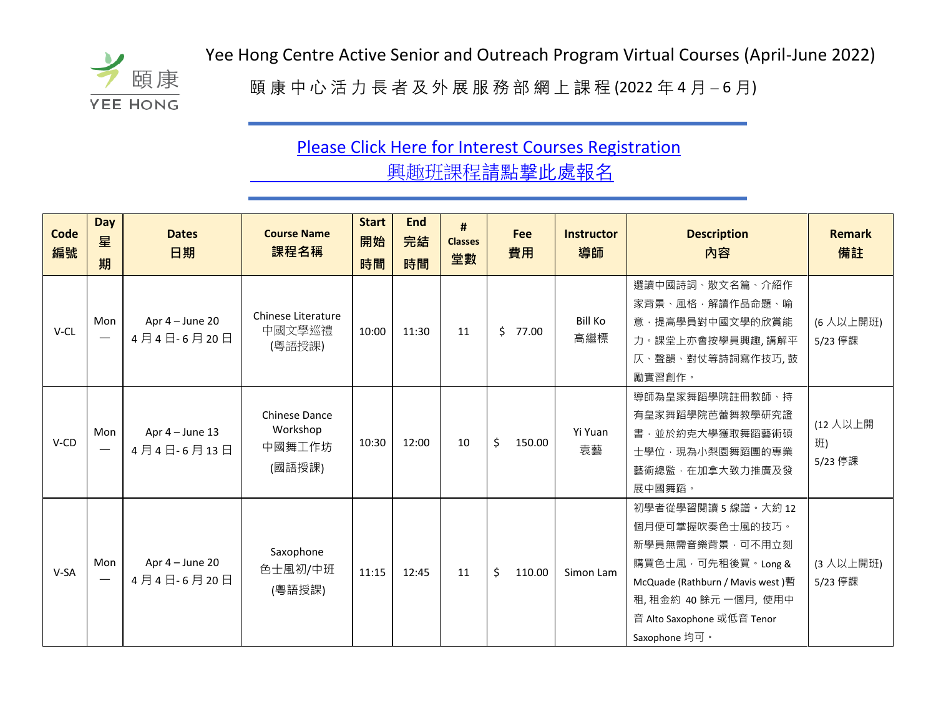

Yee Hong Centre Active Senior and Outreach Program Virtual Courses (April-June 2022)<br>  $\overline{H}$   $\overline{H}$   $\overline{H}$   $\overline{H}$   $\overline{H}$   $\overline{H}$   $\overline{H}$   $\overline{H}$   $\overline{H}$   $\overline{H}$   $\overline{H}$   $\overline{H}$   $\overline{H}$   $\overline{H}$   $\overline{H}$ 

頤 康 中 心 活 力 長 者 及 外 展 服 務 部 網 上 課 程 (2022 年 4 月 – 6 月)

## [Please Click Here for Interest Courses Registration](https://forms.gle/FwUEY3TTMhVM5dGS6)  興趣班課程請點擊此處報名

| Code<br>編號 | <b>Day</b><br>星<br>期            | <b>Dates</b><br>日期              | <b>Course Name</b><br>課程名稱                           | <b>Start</b><br>開始<br>時間 | <b>End</b><br>完結<br>時間 | #<br><b>Classes</b><br>堂數 | Fee<br>費用    | <b>Instructor</b><br>導師 | <b>Description</b><br>內容                                                                                                                                                                     | <b>Remark</b><br>備註       |
|------------|---------------------------------|---------------------------------|------------------------------------------------------|--------------------------|------------------------|---------------------------|--------------|-------------------------|----------------------------------------------------------------------------------------------------------------------------------------------------------------------------------------------|---------------------------|
| $V$ -CL    | Mon<br>$\overline{\phantom{0}}$ | Apr $4 -$ June 20<br>4月4日-6月20日 | Chinese Literature<br>中國文學巡禮<br>(粵語授課)               | 10:00                    | 11:30                  | 11                        | \$<br>77.00  | <b>Bill Ko</b><br>高繼標   | 選讀中國詩詞、散文名篇、介紹作<br>家背景、風格,解讀作品命題、喻<br>意·提高學員對中國文學的欣賞能<br>力·課堂上亦會按學員興趣,講解平<br>仄、聲韻、對仗等詩詞寫作技巧, 鼓<br>勵實習創作。                                                                                     | (6人以上開班)<br>5/23 停課       |
| V-CD       | Mon                             | Apr $4 -$ June 13<br>4月4日-6月13日 | <b>Chinese Dance</b><br>Workshop<br>中國舞工作坊<br>(國語授課) | 10:30                    | 12:00                  | 10                        | \$<br>150.00 | Yi Yuan<br>袁藝           | 導師為皇家舞蹈學院註冊教師、持<br>有皇家舞蹈學院芭蕾舞教學研究證<br>書·並於約克大學獲取舞蹈藝術碩<br>士學位 · 現為小梨園舞蹈團的專業<br>藝術總監,在加拿大致力推廣及發<br>展中國舞蹈。                                                                                      | (12 人以上開<br>班)<br>5/23 停課 |
| V-SA       | Mon                             | Apr $4 -$ June 20<br>4月4日-6月20日 | Saxophone<br>色士風初/中班<br>(粵語授課)                       | 11:15                    | 12:45                  | 11                        | \$<br>110.00 | Simon Lam               | 初學者從學習閱讀 5 線譜 · 大約 12<br>個月便可掌握吹奏色士風的技巧。<br>新學員無需音樂背景,可不用立刻<br>購買色士風,可先租後買。Long &<br>McQuade (Rathburn / Mavis west) 暫<br>租,租金約 40 餘元 一個月,使用中<br>音 Alto Saxophone 或低音 Tenor<br>Saxophone 均可。 | (3 人以上開班)<br>5/23 停課      |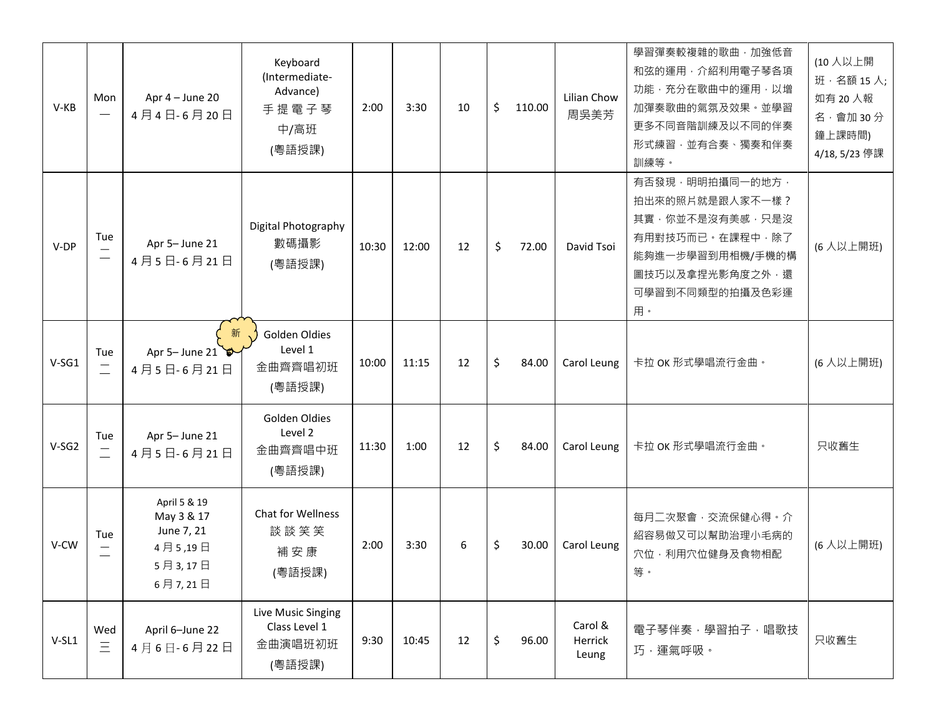| $V-KB$  | Mon                             | Apr $4 -$ June 20<br>4月4日-6月20日                                           | Keyboard<br>(Intermediate-<br>Advance)<br>手提電子琴<br>中/高班<br>(粵語授課) | 2:00  | 3:30  | 10 | \$<br>110.00 | Lilian Chow<br>周吳美芳         | 學習彈奏較複雜的歌曲,加強低音<br>和弦的運用·介紹利用電子琴各項<br>功能·充分在歌曲中的運用·以增<br>加彈奏歌曲的氣氛及效果。並學習<br>更多不同音階訓練及以不同的伴奏<br>形式練習,並有合奏、獨奏和伴奏<br>訓練等。                    | (10 人以上開<br>班 · 名額 15 人;<br>如有 20 人報<br>名 · 會加 30分<br>鐘上課時間)<br>4/18, 5/23 停課 |
|---------|---------------------------------|---------------------------------------------------------------------------|-------------------------------------------------------------------|-------|-------|----|--------------|-----------------------------|-------------------------------------------------------------------------------------------------------------------------------------------|-------------------------------------------------------------------------------|
| V-DP    | Tue<br>$\overline{\phantom{0}}$ | Apr 5- June 21<br>4月5日-6月21日                                              | Digital Photography<br>數碼攝影<br>(粵語授課)                             | 10:30 | 12:00 | 12 | \$<br>72.00  | David Tsoi                  | 有否發現, 明明拍攝同一的地方,<br>拍出來的照片就是跟人家不一樣?<br>其實,你並不是沒有美感,只是沒<br>有用對技巧而已·在課程中,除了<br>能夠進一步學習到用相機/手機的構<br>圖技巧以及拿捏光影角度之外,還<br>可學習到不同類型的拍攝及色彩運<br>用。 | (6人以上開班)                                                                      |
| $V-SG1$ | Tue                             | 新<br>Apr 5- June 21<br>4月5日-6月21日                                         | Golden Oldies<br>Level 1<br>金曲齊齊唱初班<br>(粵語授課)                     | 10:00 | 11:15 | 12 | \$<br>84.00  | Carol Leung                 | 卡拉 OK 形式學唱流行金曲。                                                                                                                           | (6人以上開班)                                                                      |
| $V-SG2$ | Tue<br>$\overline{\phantom{m}}$ | Apr 5- June 21<br>4月5日-6月21日                                              | Golden Oldies<br>Level 2<br>金曲齊齊唱中班<br>(粵語授課)                     | 11:30 | 1:00  | 12 | \$<br>84.00  | Carol Leung                 | 卡拉 OK 形式學唱流行金曲。                                                                                                                           | 只收舊生                                                                          |
| V-CW    | Tue                             | April 5 & 19<br>May 3 & 17<br>June 7, 21<br>4月5,19日<br>5月3,17日<br>6月7,21日 | Chat for Wellness<br>談談笑笑<br>補安康<br>(粵語授課)                        | 2:00  | 3:30  | 6  | \$<br>30.00  | Carol Leung                 | 每月二次聚會,交流保健心得。介<br>紹容易做又可以幫助治理小毛病的<br>穴位·利用穴位健身及食物相配<br>等。                                                                                | (6人以上開班)                                                                      |
| $V-SL1$ | Wed<br>$\equiv$                 | April 6-June 22<br>4月6日-6月22日                                             | Live Music Singing<br>Class Level 1<br>金曲演唱班初班<br>(粵語授課)          | 9:30  | 10:45 | 12 | \$<br>96.00  | Carol &<br>Herrick<br>Leung | 電子琴伴奏,學習拍子,唱歌技<br>巧·運氣呼吸。                                                                                                                 | 只收舊生                                                                          |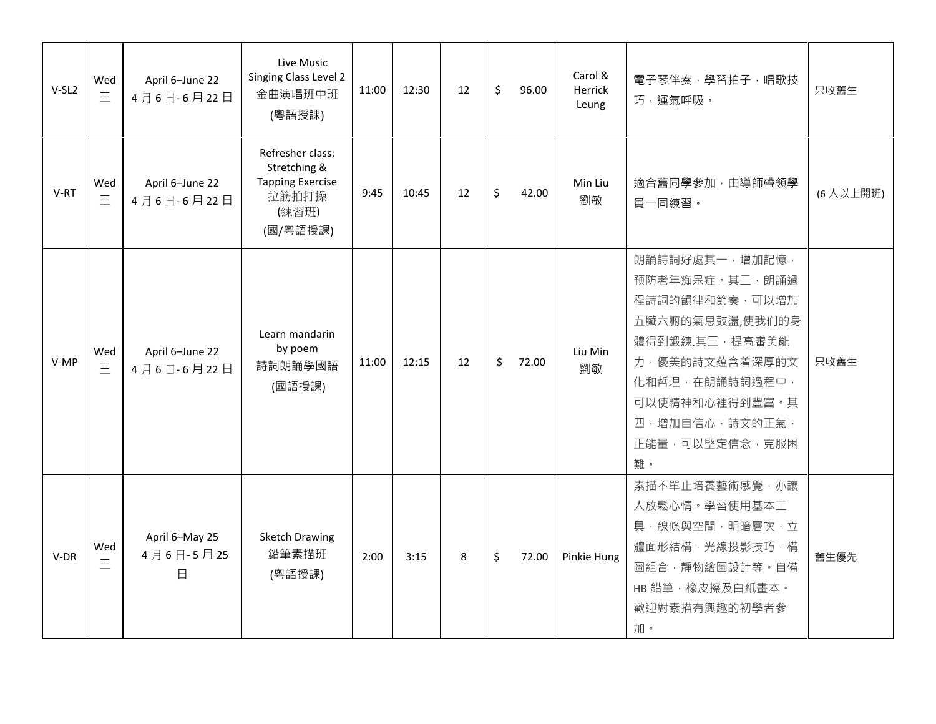| $V-SL2$ | Wed<br>$\equiv$ | April 6-June 22<br>4月6日-6月22日              | Live Music<br>Singing Class Level 2<br>金曲演唱班中班<br>(粵語授課)                                  | 11:00 | 12:30 | 12 | \$<br>96.00 | Carol &<br>Herrick<br>Leung | 電子琴伴奏,學習拍子,唱歌技<br>巧,運氣呼吸。                                                                                                                                                                 | 只收舊生      |
|---------|-----------------|--------------------------------------------|-------------------------------------------------------------------------------------------|-------|-------|----|-------------|-----------------------------|-------------------------------------------------------------------------------------------------------------------------------------------------------------------------------------------|-----------|
| $V-RT$  | Wed<br>$\equiv$ | April 6-June 22<br>4月6日-6月22日              | Refresher class:<br>Stretching &<br><b>Tapping Exercise</b><br>拉筋拍打操<br>(練習班)<br>(國/粵語授課) | 9:45  | 10:45 | 12 | \$<br>42.00 | Min Liu<br>劉敏               | 適合舊同學參加,由導師帶領學<br>員一同練習。                                                                                                                                                                  | (6 人以上開班) |
| V-MP    | Wed<br>$\equiv$ | April 6-June 22<br>4月6日-6月22日              | Learn mandarin<br>by poem<br>詩詞朗誦學國語<br>(國語授課)                                            | 11:00 | 12:15 | 12 | \$<br>72.00 | Liu Min<br>劉敏               | 朗誦詩詞好處其一,增加記憶,<br>预防老年痴呆症。其二, 朗誦過<br>程詩詞的韻律和節奏,可以增加<br>五臟六腑的氣息鼓盪,使我们的身<br>體得到鍛練.其三,提高審美能<br>力, 優美的詩文蕴含着深厚的文<br>化和哲理,在朗誦詩詞過程中,<br>可以使精神和心裡得到豐富·其<br>四,增加自信心,詩文的正氣,<br>正能量,可以堅定信念,克服困<br>難。 | 只收舊生      |
| $V-DR$  | Wed<br>Ξ        | April 6-May 25<br>4月6日-5月25<br>$\boxminus$ | <b>Sketch Drawing</b><br>鉛筆素描班<br>(粵語授課)                                                  | 2:00  | 3:15  | 8  | \$<br>72.00 | Pinkie Hung                 | 素描不單止培養藝術感覺,亦讓<br>人放鬆心情。學習使用基本工<br>具·線條與空間,明暗層次,立<br>體面形結構, 光線投影技巧, 構<br>圖組合,靜物繪圖設計等。自備<br>HB 鉛筆, 橡皮擦及白紙畫本。<br>歡迎對素描有興趣的初學者參<br>加。                                                        | 舊生優先      |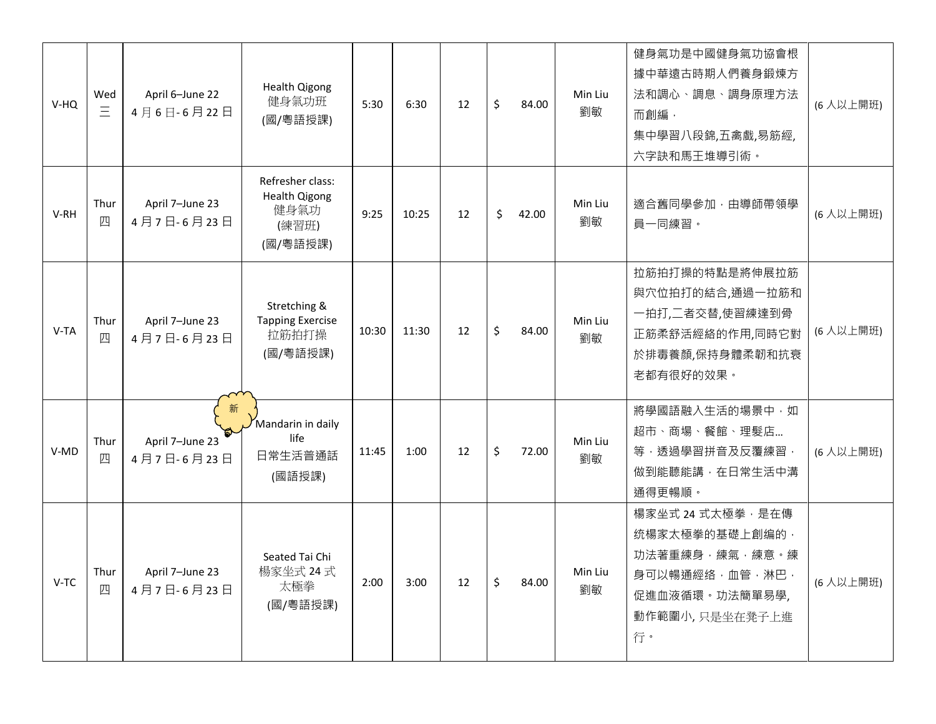| V-HQ | Wed<br>Ξ  | April 6-June 22<br>4月6日-6月22日      | <b>Health Qigong</b><br>健身氣功班<br>(國/粵語授課)                             | 5:30  | 6:30  | 12 | \$<br>84.00 | Min Liu<br>劉敏 | 健身氣功是中國健身氣功協會根<br>據中華遠古時期人們養身鍛煉方<br>法和調心、調息、調身原理方法<br>而創編,<br>集中學習八段錦,五禽戲,易筋經,<br>六字訣和馬王堆導引術。                     | (6人以上開班) |
|------|-----------|------------------------------------|-----------------------------------------------------------------------|-------|-------|----|-------------|---------------|-------------------------------------------------------------------------------------------------------------------|----------|
| V-RH | Thur<br>四 | April 7-June 23<br>4月7日-6月23日      | Refresher class:<br><b>Health Qigong</b><br>健身氣功<br>(練習班)<br>(國/粵語授課) | 9:25  | 10:25 | 12 | \$<br>42.00 | Min Liu<br>劉敏 | 適合舊同學參加,由導師帶領學<br>員一同練習。                                                                                          | (6人以上開班) |
| V-TA | Thur<br>四 | April 7-June 23<br>4月7日-6月23日      | Stretching &<br><b>Tapping Exercise</b><br>拉筋拍打操<br>(國/粵語授課)          | 10:30 | 11:30 | 12 | \$<br>84.00 | Min Liu<br>劉敏 | 拉筋拍打操的特點是將伸展拉筋<br>與穴位拍打的結合,通過一拉筋和<br>一拍打,二者交替,使習練達到骨<br>正筋柔舒活經絡的作用,同時它對<br>於排毒養顏,保持身體柔韌和抗衰<br>老都有很好的效果。           | (6人以上開班) |
| V-MD | Thur<br>Щ | 新<br>April 7-June 23<br>4月7日-6月23日 | Mandarin in daily<br>life<br>日常生活普通話<br>(國語授課)                        | 11:45 | 1:00  | 12 | \$<br>72.00 | Min Liu<br>劉敏 | 將學國語融入生活的場景中,如<br>超市、商場、餐館、理髮店<br>等,透過學習拼音及反覆練習,<br>做到能聽能講, 在日常生活中溝<br>通得更暢順。                                     | (6人以上開班) |
| V-TC | Thur<br>四 | April 7-June 23<br>4月7日-6月23日      | Seated Tai Chi<br>楊家坐式 24 式<br>太極拳<br>(國/粵語授課)                        | 2:00  | 3:00  | 12 | \$<br>84.00 | Min Liu<br>劉敏 | 楊家坐式 24 式太極拳, 是在傳<br>统楊家太極拳的基礎上創编的,<br>功法著重練身,練氣,練意。練<br>身可以暢通經络,血管,淋巴,<br>促進血液循環。功法簡單易學,<br>動作範圍小,只是坐在凳子上進<br>行。 | (6人以上開班) |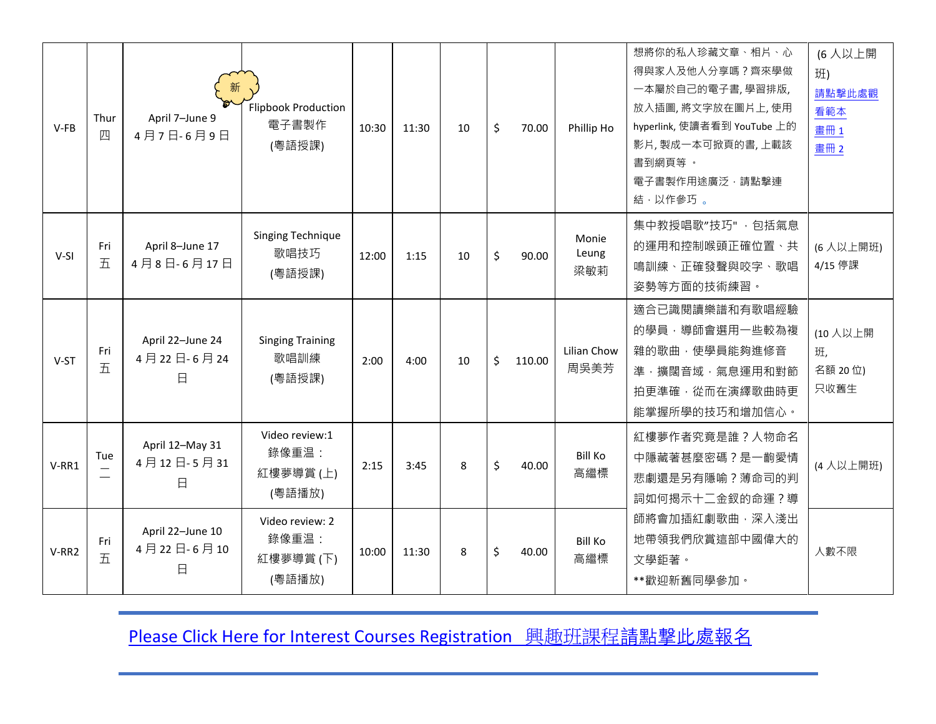| $V-FB$ | Thur<br>四 | 新<br>April 7-June 9<br>4月7日-6月9日    | <b>Flipbook Production</b><br>電子書製作<br>(粵語授課)  | 10:30 | 11:30 | 10 <sup>1</sup> | \$<br>70.00  | Phillip Ho            | 想將你的私人珍藏文章、相片、心<br>得與家人及他人分享嗎?齊來學做<br>一本屬於自己的電子書,學習排版,<br>放入插圖,將文字放在圖片上,使用<br>hyperlink, 使讀者看到 YouTube 上的<br>影片, 製成一本可掀頁的書, 上載該<br>書到網頁等 。<br>電子書製作用途廣泛,請點擊連<br>結,以作參巧。 | (6人以上開<br>班)<br>請點擊此處觀<br>看範本<br>畫冊1<br>畫冊 2 |
|--------|-----------|-------------------------------------|------------------------------------------------|-------|-------|-----------------|--------------|-----------------------|-------------------------------------------------------------------------------------------------------------------------------------------------------------------------|----------------------------------------------|
| $V-SI$ | Fri<br>五  | April 8-June 17<br>4月8日-6月17日       | Singing Technique<br>歌唱技巧<br>(粵語授課)            | 12:00 | 1:15  | 10              | \$<br>90.00  | Monie<br>Leung<br>梁敏莉 | 集中教授唱歌"技巧", 包括氣息<br>的運用和控制喉頭正確位置、共<br>鳴訓練、正確發聲與咬字、歌唱<br>姿勢等方面的技術練習·                                                                                                     | (6人以上開班)<br>4/15 停課                          |
| V-ST   | Fri<br>五  | April 22-June 24<br>4月22日-6月24<br>日 | <b>Singing Training</b><br>歌唱訓練<br>(粵語授課)      | 2:00  | 4:00  | 10              | \$<br>110.00 | Lilian Chow<br>周吳美芳   | 適合已識閱讀樂譜和有歌唱經驗<br>的學員, 導師會選用一些較為複<br>雜的歌曲,使學員能夠進修音<br>準,擴闊音域,氣息運用和對節<br>拍更準確, 從而在演繹歌曲時更<br>能掌握所學的技巧和增加信心。                                                               | (10人以上開<br>班,<br>名額 20 位)<br>只收舊生            |
| V-RR1  | Tue       | April 12-May 31<br>4月12日-5月31<br>日  | Video review:1<br>錄像重温:<br>紅樓夢導賞(上)<br>(粵語播放)  | 2:15  | 3:45  | 8               | \$<br>40.00  | <b>Bill Ko</b><br>高繼標 | 紅樓夢作者究竟是誰?人物命名<br>中隱藏著甚麼密碼?是一齣愛情<br>悲劇還是另有隱喻?薄命司的判<br>詞如何揭示十二金釵的命運?導                                                                                                    | (4人以上開班)                                     |
| V-RR2  | Fri<br>五  | April 22-June 10<br>4月22日-6月10<br>日 | Video review: 2<br>錄像重温:<br>紅樓夢導賞(下)<br>(粵語播放) | 10:00 | 11:30 | 8               | \$<br>40.00  | <b>Bill Ko</b><br>高繼標 | 師將會加插紅劇歌曲,深入淺出<br>地帶領我們欣賞這部中國偉大的<br>文學鉅著。<br>**歡迎新舊同學參加。                                                                                                                | 人數不限                                         |

[Please Click Here for Interest Courses Registration](https://forms.gle/FwUEY3TTMhVM5dGS6) 興趣班課程請點撃此處報名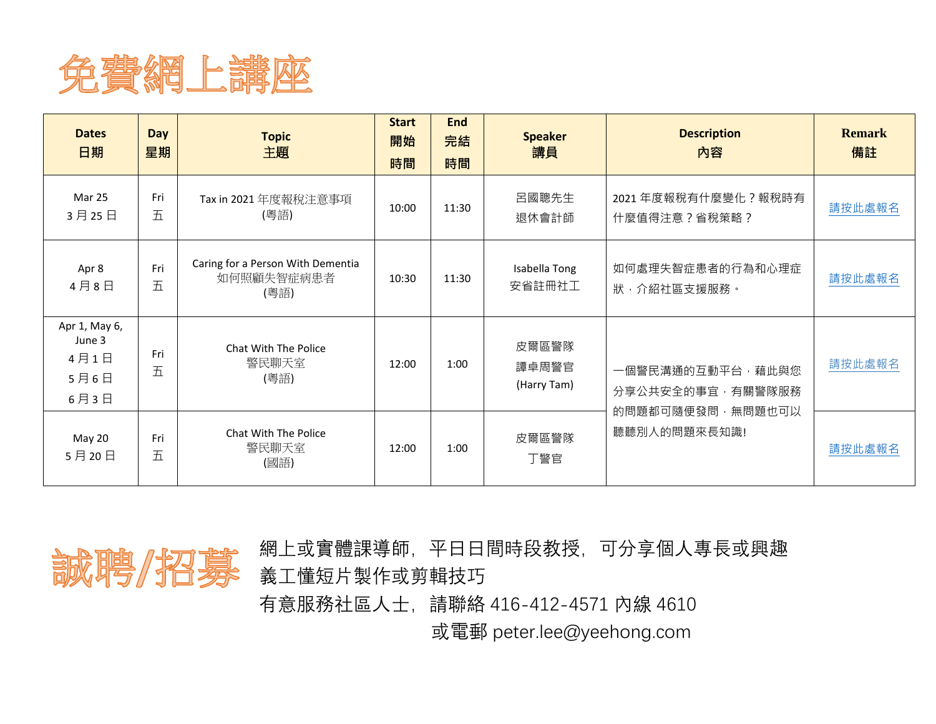

| <b>Dates</b><br>日期                              | <b>Day</b><br>星期 | <b>Topic</b><br>主題                                      | <b>Start</b><br>開始<br>時間 | <b>End</b><br>完結<br>時間 | <b>Speaker</b><br>講員          | <b>Description</b><br>內容             | <b>Remark</b><br>備註 |
|-------------------------------------------------|------------------|---------------------------------------------------------|--------------------------|------------------------|-------------------------------|--------------------------------------|---------------------|
| Mar 25<br>3月25日                                 | Fri<br>五         | Tax in 2021 年度報稅注意事項<br>(粵語)                            | 10:00                    | 11:30                  | 呂國聰先生<br>退休會計師                | 2021 年度報稅有什麼變化?報稅時有<br>什麼值得注意?省稅策略?  | 請按此處報名              |
| Apr 8<br>4月8日                                   | Fri<br>五         | Caring for a Person With Dementia<br>如何照顧失智症病患者<br>(粵語) | 10:30                    | 11:30                  | Isabella Tong<br>安省註冊社工       | 如何處理失智症患者的行為和心理症<br>狀, 介紹社區支援服務。     | 請按此處報名              |
| Apr 1, May 6,<br>June 3<br>4月1日<br>5月6日<br>6月3日 | Fri<br>五         | Chat With The Police<br>警民聊天室<br>(粵語)                   | 12:00                    | 1:00                   | 皮爾區警隊<br>譚卓周警官<br>(Harry Tam) | 一個警民溝通的互動平台,藉此與您<br>分享公共安全的事宜,有關警隊服務 | 請按此處報名              |
| May 20<br>5月20日                                 | Fri<br>五         | Chat With The Police<br>警民聊天室<br>(國語)                   | 12:00                    | 1:00                   | 皮爾區警隊<br>丁警官                  | 的問題都可隨便發問,無問題也可以<br>聽聽別人的問題來長知識!     | 請按此處報名              |



網上或實體課導師,平日日間時段教授,可分享個人專長或興趣 義工懂短片製作或剪輯技巧

有意服務社區人士,請聯絡 416-412-4571 內線 4610

或電郵 peter.lee@yeehong.com